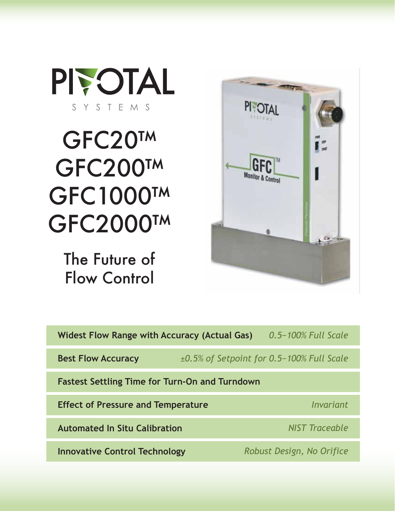

# GFC20™ GFC200™ GFC1000™ GFC2000™

The Future of Flow Control



| <b>Widest Flow Range with Accuracy (Actual Gas)</b>   | 0.5-100% Full Scale                             |
|-------------------------------------------------------|-------------------------------------------------|
| <b>Best Flow Accuracy</b>                             | $\pm 0.5\%$ of Setpoint for 0.5-100% Full Scale |
| <b>Fastest Settling Time for Turn-On and Turndown</b> |                                                 |
| <b>Effect of Pressure and Temperature</b>             | Invariant                                       |
| <b>Automated In Situ Calibration</b>                  | <b>NIST Traceable</b>                           |
| <b>Innovative Control Technology</b>                  | Robust Design, No Orifice                       |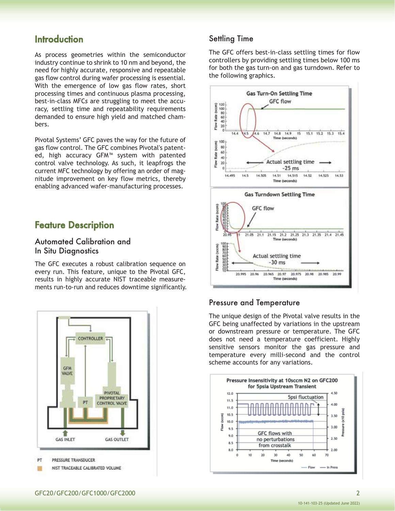# **Introduction**

As process geometries within the semiconductor industry continue to shrink to 10 nm and beyond, the need for highly accurate, responsive and repeatable gas flow control during wafer processing is essential. With the emergence of low gas flow rates, short processing times and continuous plasma processing, best-in-class MFC*s* are struggling to meet the accuracy, settling time and repeatability requirements demanded to ensure high yield and matched chambers.

Pivotal Systems' GFC paves the way for the future of gas flow control. The GFC combines Pivotal's patented, high accuracy GFM™ system with patented control valve technology. As such, it leapfrogs the current MFC technology by offering an order of magnitude improvement on key flow metrics, thereby enabling advanced wafer-manufacturing processes.

# Feature Description

### Automated Calibration and In Situ Diagnostics

The GFC executes a robust calibration sequence on every run. This feature, unique to the Pivotal GFC, results in highly accurate NIST traceable measurements run-to-run and reduces downtime significantly.



### Settling Time

The GFC offers best-in-class settling times for flow controllers by providing settling times below 100 ms for both the gas turn-on and gas turndown. Refer to the following graphics.



### Pressure and Temperature

The unique design of the Pivotal valve results in the GFC being unaffected by variations in the upstream or downstream pressure or temperature. The GFC does not need a temperature coefficient. Highly sensitive sensors monitor the gas pressure and temperature every milli-second and the control scheme accounts for any variations.

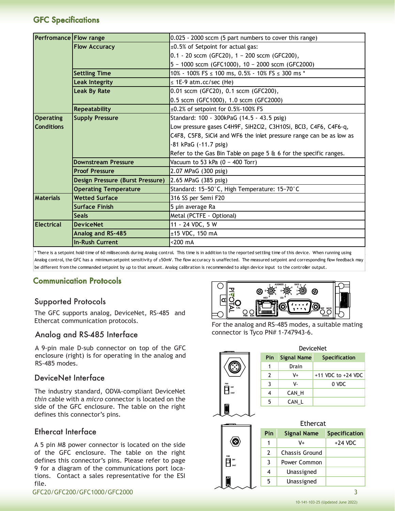### GFC Specifications

| 0.025 - 2000 sccm (5 part numbers to cover this range)              |
|---------------------------------------------------------------------|
| ±0.5% of Setpoint for actual gas:                                   |
| $0.1 - 20$ sccm (GFC20), $1 - 200$ sccm (GFC200),                   |
| 5 - 1000 sccm (GFC1000), 10 - 2000 sccm (GFC2000)                   |
| 10% - 100% FS ≤ 100 ms, 0.5% - 10% FS ≤ 300 ms *                    |
| $\leq$ 1E-9 atm.cc/sec (He)                                         |
| 0.01 sccm (GFC20), 0.1 sccm (GFC200),                               |
| 0.5 sccm (GFC1000), 1.0 sccm (GFC2000)                              |
| $\pm 0.2\%$ of setpoint for 0.5%-100% FS                            |
| Standard: 100 - 300kPaG (14.5 - 43.5 psig)                          |
| Low pressure gases C4H9F, SiH2Cl2, C3H10Si, BCl3, C4F6, C4F6-q,     |
| C4F8, C5F8, SiCl4 and WF6 the inlet pressure range can be as low as |
| -81 kPaG (-11.7 psig)                                               |
| Refer to the Gas Bin Table on page 5 & 6 for the specific ranges.   |
| Vacuum to 53 kPa (0 - 400 Torr)                                     |
| 2.07 MPaG (300 psig)                                                |
| 2.65 MPaG (385 psig)                                                |
| Standard: 15-50°C, High Temperature: 15-70°C                        |
| 316 SS per Semi F20                                                 |
| 5 µin average Ra                                                    |
| Metal (PCTFE - Optional)                                            |
| 11 - 24 VDC, 5 W                                                    |
| ±15 VDC, 150 mA                                                     |
| $<$ 200 $mA$                                                        |
|                                                                     |

\* There is a setpoint hold-time of 60 milliseconds during Analog control. This time is in addition to the reported settling time of this device. When running using Analog control, the GFC has a minimum setpoint sensitivity of ±50mV. The flow accuracy is unaffected. The measured setpoint and corresponding flow feedback may be different from the commanded setpoint by up to that amount. Analog calibration is recommended to align device input to the controller output.

### Communication Protocols

### Supported Protocols

The GFC supports analog, DeviceNet, RS-485 and Ethercat communication protocols.

### Analog and RS-485 Interface

A 9-pin male D-sub connector on top of the GFC enclosure (right) is for operating in the analog and RS-485 modes.

### DeviceNet Interface

The industry standard, ODVA-compliant DeviceNet *thin* cable with a *micro* connector is located on the side of the GFC enclosure. The table on the right defines this connector's pins.

### Ethercat Interface

A 5 pin M8 power connector is located on the side of the GFC enclosure. The table on the right defines this connector's pins. Please refer to page 9 for a diagram of the communications port locations. Contact a sales representative for the ESI file.

GFC20/GFC200/GFC1000/GFC2000 3



For the analog and RS-485 modes, a suitable mating connector is Tyco PN# 1-747943-6.

| ີ<br>o<br>o.<br>ò         |  |
|---------------------------|--|
| PWR<br><b>DB9</b><br>DNET |  |
|                           |  |

|     |             | DeviceNet              |
|-----|-------------|------------------------|
| Pin | Signal Name | <b>Specification</b>   |
| 1   | Drain       |                        |
| 2   | V+          | $+11$ VDC to $+24$ VDC |
| 3   | v-          | 0 VDC                  |
| 4   | CAN H       |                        |
| 5   | CAN L       |                        |
|     |             |                        |

|  | 5   | CAN L              |                      |
|--|-----|--------------------|----------------------|
|  |     |                    |                      |
|  |     | <b>Ethercat</b>    |                      |
|  | Pin | <b>Signal Name</b> | <b>Specification</b> |
|  | 1   | V+                 | $+24$ VDC            |
|  | 2   | Chassis Ground     |                      |
|  | 3   | Power Common       |                      |
|  | 4   | Unassigned         |                      |
|  | 5   | Unassigned         |                      |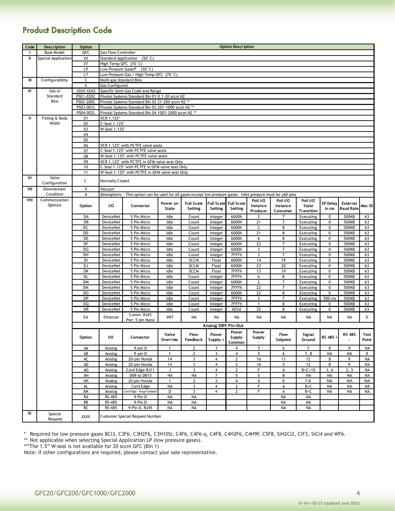# Product Description Code

| Code | Description         | <b>Option</b>    |                            |                                                                                                                |              |                   |                    | <b>Option Description</b>    |                         |                |                   |                 |                  |           |
|------|---------------------|------------------|----------------------------|----------------------------------------------------------------------------------------------------------------|--------------|-------------------|--------------------|------------------------------|-------------------------|----------------|-------------------|-----------------|------------------|-----------|
| Т.   | <b>Base Model</b>   | GFC              | <b>Gas Flow Controller</b> |                                                                                                                |              |                   |                    |                              |                         |                |                   |                 |                  |           |
| Ш    | Special Application | XX               |                            | Standard Application (50°C)                                                                                    |              |                   |                    |                              |                         |                |                   |                 |                  |           |
|      |                     | XT               | High Temp GFC (70°C)       |                                                                                                                |              |                   |                    |                              |                         |                |                   |                 |                  |           |
|      |                     | LP               |                            | Low Pressure Gases* (50°C)                                                                                     |              |                   |                    |                              |                         |                |                   |                 |                  |           |
|      |                     | LT               |                            | Low Pressure Gas / High Temp GFC (70°C)                                                                        |              |                   |                    |                              |                         |                |                   |                 |                  |           |
| Ш    | Configurability     | C                |                            | Multi-gas Standard Bins                                                                                        |              |                   |                    |                              |                         |                |                   |                 |                  |           |
|      |                     | X                | Gas Configured             |                                                                                                                |              |                   |                    |                              |                         |                |                   |                 |                  |           |
| IV   | Gas or              | <b>XXXX XXXX</b> |                            | Specific Semi Gas Code and Range                                                                               |              |                   |                    |                              |                         |                |                   |                 |                  |           |
|      | Standard            | PS01-020C        |                            | Pivotal Systems Standard Bin 01 0.1-20 sccm N2                                                                 |              |                   |                    |                              |                         |                |                   |                 |                  |           |
|      | Bins                | PS02-200C        |                            | Pivotal Systems Standard Bin 02 21-200 sccm N2 **                                                              |              |                   |                    |                              |                         |                |                   |                 |                  |           |
|      |                     | PS03-001L        |                            | Pivotal Systems Standard Bin 03 201-1000 sccm N2 **                                                            |              |                   |                    |                              |                         |                |                   |                 |                  |           |
|      |                     | PS04-002L        |                            | Pivotal Systems Standard Bin 04 1001-2000 sccm N2 **                                                           |              |                   |                    |                              |                         |                |                   |                 |                  |           |
| ٧    | Fitting & Body      | 01               | VCR 1.125"                 |                                                                                                                |              |                   |                    |                              |                         |                |                   |                 |                  |           |
|      | Width               | 02               | C-Seal 1.125"              |                                                                                                                |              |                   |                    |                              |                         |                |                   |                 |                  |           |
|      |                     | 03               | W-Seal 1.125"              |                                                                                                                |              |                   |                    |                              |                         |                |                   |                 |                  |           |
|      |                     | 04               |                            |                                                                                                                |              |                   |                    |                              |                         |                |                   |                 |                  |           |
|      |                     | 05               |                            |                                                                                                                |              |                   |                    |                              |                         |                |                   |                 |                  |           |
|      |                     | 06               |                            | VCR 1.125" with PCTFE valve seats                                                                              |              |                   |                    |                              |                         |                |                   |                 |                  |           |
|      |                     | 07               |                            | C-Seal 1.125" with PCTFE valve seats                                                                           |              |                   |                    |                              |                         |                |                   |                 |                  |           |
|      |                     | 08               |                            | W-Seal 1.125" with PCTFE valve seats                                                                           |              |                   |                    |                              |                         |                |                   |                 |                  |           |
|      |                     | 09               |                            | VCR 1.125" with PCTFE in GFM valve seat Only                                                                   |              |                   |                    |                              |                         |                |                   |                 |                  |           |
|      |                     | 10               |                            | C-Seal 1.125" with PCTFE in GFM valve seat Only                                                                |              |                   |                    |                              |                         |                |                   |                 |                  |           |
|      |                     | 11               |                            | W-Seal 1.125" with PCTFE in GFM valve seat Only                                                                |              |                   |                    |                              |                         |                |                   |                 |                  |           |
| ٧I   | Valve               | C                | <b>Normally Closed</b>     |                                                                                                                |              |                   |                    |                              |                         |                |                   |                 |                  |           |
|      | Configuration       |                  |                            |                                                                                                                |              |                   |                    |                              |                         |                |                   |                 |                  |           |
| VII  | Downstream          | V                | Vacuum                     |                                                                                                                |              |                   |                    |                              |                         |                |                   |                 |                  |           |
|      | Condition           | A                |                            | Atmospheric - This option can be used for all gases except low pressure gases. Inlet pressure must be ≥60 psia |              |                   |                    |                              |                         |                |                   |                 |                  |           |
| VIII | Communication       |                  |                            |                                                                                                                | Power on     | <b>Full Scale</b> |                    | <b>Full Scale</b> Full Scale | Poll I/O                | Poll I/O       | Poll I/O          | <b>SP Delay</b> | External         |           |
|      | Options             | Option           | I/O                        | Connector                                                                                                      | State        | Setting           | Setting            | Setting                      | Instance                | Instance       | State             | in ms           | <b>Baud Rate</b> | Mac ID    |
|      |                     |                  |                            |                                                                                                                |              |                   |                    |                              | Producer                | Consumer       | <b>Transition</b> |                 |                  |           |
|      |                     | DA               | <b>DeviceNet</b>           | 5 Pin Micro                                                                                                    | Idle         | Count             | Integer            | 6000h                        | $\overline{2}$          | $\overline{7}$ | Executing         | $\mathbf 0$     | 500KB            | 63        |
|      |                     | DB               | DeviceNet                  | 5 Pin Micro                                                                                                    | Idle         | Count             | Integer            | 6000h                        | 21                      | $\overline{7}$ | Executing         | 0               | 500KB            | 63        |
|      |                     | DC               | DeviceNet                  | 5 Pin Micro                                                                                                    | Idle         | Count             | Integer            | 6000h                        | $\mathbf{2}$            | 8              | Executing         | 0               | 500KB            | 63        |
|      |                     | DD               | DeviceNet                  | 5 Pin Micro                                                                                                    | Idle         | Count             | Integer            | 6000h                        | 21                      | 8              | Executing         | 0               | 500KB            | 63        |
|      |                     | DE               | DeviceNet                  | 5 Pin Micro                                                                                                    | Idle         | Count             | Integer            | 6000h                        | 6                       | 8              | Executing         | 0               | 500KB            | 63        |
|      |                     | DF               | DeviceNet                  | 5 Pin Micro                                                                                                    | Idle         | Count             | Integer            | 6000h                        | 22                      | $\overline{7}$ | Executing         | 0               | 500KB            | 63        |
|      |                     | DG               | DeviceNet                  | 5 Pin Micro                                                                                                    | Idle         | Count             | Integer            | 6000h                        | 3                       | $\overline{7}$ | Executing         | 0               | 500KB            | 63        |
|      |                     | DH               | DeviceNet                  | 5 Pin Micro                                                                                                    | Idle         | Count             | Integer            | 7FFFh                        | $\overline{\mathbf{3}}$ | $\overline{7}$ | Executing         | 0               | 500KB            | 63        |
|      |                     | DI               | DeviceNet                  | 5 Pin Micro                                                                                                    | Idle         | <b>SCCM</b>       | Float              | 6000h                        | 14                      | 19             | Executing         | 0               | 500KB            | 63        |
|      |                     | DJ               | DeviceNet                  | 5 Pin Micro                                                                                                    | Idle         | <b>SCCM</b>       | Float              | 6000h                        | $\overline{23}$         | 20             | Executing         | 0               | 500KB            | 63        |
|      |                     | DK               | DeviceNet                  | 5 Pin Micro                                                                                                    | Idle         | <b>SCCM</b>       | Float              | 7FFFh                        | 13                      | 19             | Executing         | 0               | 500KB            | 63        |
|      |                     | DL               | DeviceNet                  | 5 Pin Micro                                                                                                    | Idle         | Count             | Integer            | 7FFFh                        | 6                       | 8              | Executing         | 0               | 500KB            | 63        |
|      |                     | <b>DM</b>        | DeviceNet                  | 5 Pin Micro                                                                                                    | Idle         | Count             | Integer            | 6000h                        | $\mathbf{2}$            | $\overline{7}$ | Executing         | $\mathbf 0$     | 500KB            | 63        |
|      |                     | DN               | DeviceNet                  | 5 Pin Micro                                                                                                    | Idle         | Count             | Integer            | 7FFFh                        | 22                      | $\overline{7}$ | Executing         | 0               | 500KB            | 63        |
|      |                     | DO               | DeviceNet                  | 5 Pin Micro                                                                                                    | Idle         | Count             | Integer            | 6000h                        | $\overline{22}$         | 8              | Executing         | 0               | 500KB            | 63        |
|      |                     | DP               | DeviceNet                  | 5 Pin Micro                                                                                                    | Idle         | Count             | Integer            | 7FFFh                        | 3                       | $\overline{7}$ | Executing         | 500 ms          | 500KB            | 63        |
|      |                     | DQ               | DeviceNet                  | 5 Pin Micro                                                                                                    | Idle         | Count             | Integer            | 7FFFh                        | $\mathbf{1}$            | 8              | Executing         | 0               | 500KB            | 63        |
|      |                     | DR               | <b>DeviceNet</b>           | 5 Pin Micro                                                                                                    | Idle         | Count             | Integer            | 603d                         | 22                      | 8              | Executing         | 0               | 500KB            | 63        |
|      |                     | EA               | Ethercat                   | Comm: RJ45                                                                                                     | <b>INIT</b>  | NA                | NA                 | <b>NA</b>                    | NA                      | NA             | NA                | NA              | NA               | 0         |
|      |                     |                  |                            | Pwr: 5 pin Nano                                                                                                |              |                   | Analog DB9 Pin-Out |                              |                         |                |                   |                 |                  |           |
|      |                     |                  |                            |                                                                                                                |              |                   |                    |                              |                         |                |                   |                 |                  |           |
|      |                     |                  |                            |                                                                                                                | Valve        | Flow              | Power              | Power                        | Power                   | Flow           | Signal            |                 | <b>RS 485</b>    | Test      |
|      |                     | Option           | I/O                        | Connector                                                                                                      | Override     | Feedback          | Supply +           | Supply<br>Common             | <b>Supply</b>           | Setpoint       | Ground            | RS 485 +        |                  | Point     |
|      |                     | AA               | Analog                     | 9-pin D                                                                                                        | $\mathbf{1}$ | 2                 | 3                  | 4                            | 5                       | 6              | $\overline{7}$    | 8               | 9                | NA        |
|      |                     | AB               | Analog                     | 9-pin D                                                                                                        | 1            | 2                 | 3                  | 4                            | 5                       | 6              | 7,8               | NA              | NA               | 9         |
|      |                     | AC               | Analog                     | 20-pin Honda                                                                                                   | 14           | 3                 | $\overline{4}$     | $\overline{2}$               | 16                      | 11             | 12                | 8               | 9                | NA        |
|      |                     | AD               | Analog                     | 20-pin Honda                                                                                                   | 14           | 3                 | 4                  | $\overline{2}$               | 16                      | 5              | 12                | 8               | 9                | NA        |
|      |                     | AG               | Analog                     | Card Edge-RJ11                                                                                                 | J            | $\overline{3}$    | $\overline{4}$     | $\overline{2}$               | F                       | A              | $B + C + 10$      | 3, 4            | 2, 3             | <b>NA</b> |
|      |                     | AH               | Analog                     | DB9 to DB15                                                                                                    | <b>NA</b>    | <b>NA</b>         | $\overline{7}$     | 5                            | $\overline{5}$          | 8              | <b>NA</b>         | <b>NA</b>       | <b>NA</b>        | <b>NA</b> |
|      |                     | AK               | Analog                     | 20-pin Honda                                                                                                   | $\mathbf{1}$ | $\overline{2}$    | 3                  | 4                            | 5                       | 6              | $7 - 8$           | <b>NA</b>       | <b>NA</b>        | NA        |
|      |                     | AL               | Analog                     | Card Edge                                                                                                      | <b>NA</b>    | 3                 | $\overline{4}$     | 2                            | F                       | А              | B+C               | NA              | NA               | NA        |
|      |                     | AM               | Analog                     | Card Edge - Purge Enabled                                                                                      | D            | 3                 | $\overline{4}$     | 2                            | F                       | А              | B+C               | NA              | NA               | NA        |
|      |                     | RA               | RS-485                     | 9-Pin D                                                                                                        | <b>NA</b>    | <b>NA</b>         |                    |                              |                         | <b>NA</b>      | NA                |                 |                  |           |
|      |                     | <b>RB</b>        | RS-485                     | 9-Pin D                                                                                                        | <b>NA</b>    | <b>NA</b>         |                    |                              |                         | <b>NA</b>      | <b>NA</b>         |                 |                  |           |
|      |                     | RC               | RS-485                     | 9-Pin D, RJ45                                                                                                  | NA           | NA                |                    |                              |                         | NA             | <b>NA</b>         |                 |                  |           |
| IX   | Special             |                  |                            |                                                                                                                |              |                   |                    |                              |                         |                |                   |                 |                  |           |
|      | Request             | <b>XXXX</b>      |                            | Customer Special Request Number                                                                                |              |                   |                    |                              |                         |                |                   |                 |                  |           |

\* Required for low pressure gases BCl3, C3F6, C3H2F6, C3H10Si, C4F6, C4F6-q, C4F8, C4H2F6, C4H9F, C5F8, SiH2Cl2, ClF3, SiCl4 and WF6.

\*\* Not applicable when selecting Special Application LP (low pressure gases).

\*\*\*The 1.5" W-seal is not available for 20 sccm GFC (Bin 1)

Note: If other configurations are required, please contact your sale representative.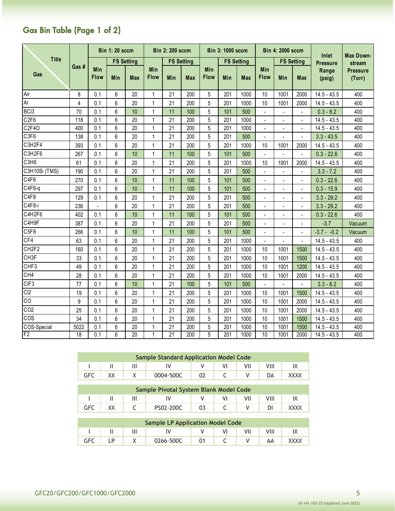# Gas Bin Table (Page 1 of 2)

|                   |                |                          | <b>Bin 1: 20 sccm</b> |                   |                    | <b>Bin 2: 200 sccm</b> |                   |             | <b>Bin 3: 1000 sccm</b> |            |                          | <b>Bin 4: 2000 sccm</b> |                          | Inlet           | Max Down-                 |  |
|-------------------|----------------|--------------------------|-----------------------|-------------------|--------------------|------------------------|-------------------|-------------|-------------------------|------------|--------------------------|-------------------------|--------------------------|-----------------|---------------------------|--|
| <b>Title</b>      |                |                          |                       | <b>FS Setting</b> |                    |                        | <b>FS Setting</b> |             | <b>FS Setting</b>       |            |                          |                         | <b>FS Setting</b>        | <b>Pressure</b> | stream                    |  |
| Gas               | Gas #          | Min<br><b>Flow</b>       | Min                   | <b>Max</b>        | Min<br><b>Flow</b> | Min                    | <b>Max</b>        | Min<br>Flow | Min                     | <b>Max</b> | <b>Min</b><br>Flow       | Min                     | Max                      | Range<br>(psig) | <b>Pressure</b><br>(Torr) |  |
| Air               | 8              | 0.1                      | 6                     | 20                | 1                  | 21                     | 200               | 5           | 201                     | 1000       | 10                       | 1001                    | 2000                     | $14.5 - 43.5$   | 400                       |  |
| Ar                | $\overline{4}$ | 0.1                      | 6                     | 20                | $\mathbf{1}$       | 21                     | 200               | 5           | 201                     | 1000       | 10                       | 1001                    | 2000                     | $14.5 - 43.5$   | 400                       |  |
| BC <sub>13</sub>  | 70             | 0.1                      | 6                     | 10                | 1                  | 11                     | 100               | 5           | 101                     | 500        |                          |                         |                          | $0.3 - 8.2$     | 400                       |  |
| C <sub>2F6</sub>  | 118            | 0.1                      | 6                     | 20                | 1                  | 21                     | 200               | 5           | 201                     | 1000       |                          |                         |                          | $14.5 - 43.5$   | 400                       |  |
| C2F4O             | 400            | 0.1                      | 6                     | 20                | 1                  | 21                     | 200               | 5           | 201                     | 1000       |                          |                         |                          | $14.5 - 43.5$   | 400                       |  |
| C3F6              | 138            | 0.1                      | 6                     | 20                | 1                  | 21                     | 200               | 5           | 201                     | 500        | ÷,                       | $\overline{a}$          | ÷,                       | $3.3 - 43.5$    | 400                       |  |
| C3H2F4            | 393            | 0.1                      | 6                     | 20                | 1                  | 21                     | 200               | 5           | 201                     | 1000       | 10                       | 1001                    | 2000                     | $14.5 - 43.5$   | 400                       |  |
| C3H2F6            | 267            | 0.1                      | 6                     | 10                | 1                  | 11                     | 100               | 5           | 101                     | 500        | $\overline{a}$           | $\overline{a}$          | $\blacksquare$           | $0.3 - 22.6$    | 400                       |  |
| C <sub>3H6</sub>  | 61             | 0.1                      | 6                     | 20                | 1                  | 21                     | 200               | 5           | 201                     | 1000       | 10                       | 1001                    | 2000                     | $14.5 - 43.5$   | 400                       |  |
| C3H10Si (TMS)     | 190            | 0.1                      | 6                     | 20                | 1                  | 21                     | 200               | 5           | 201                     | 500        |                          |                         | $\overline{\phantom{a}}$ | $3.3 - 7.2$     | 400                       |  |
| C4F6              | 270            | 0.1                      | 6                     | 10                | 1                  | 11                     | 100               | 5           | 101                     | 500        | ÷,                       | L,                      | $\overline{a}$           | $0.3 - 22.6$    | 400                       |  |
| C4F6-q            | 297            | 0.1                      | 6                     | 10                | 1                  | 11                     | 100               | 5           | 101                     | 500        | $\overline{a}$           | Ĭ.                      | $\blacksquare$           | $0.3 - 15.9$    | 400                       |  |
| C4F8              | 129            | 0.1                      | 6                     | 20                | 1                  | 21                     | 200               | 5           | 201                     | 500        |                          |                         | ÷,                       | $3.3 - 29.2$    | 400                       |  |
| C4F8-i            | 236            | $\overline{\phantom{a}}$ | 6                     | 20                | 1                  | 21                     | 200               | 5           | 201                     | 500        | $\overline{a}$           | $\overline{a}$          | L.                       | $3.3 - 29.2$    | 400                       |  |
| C4H2F6            | 402            | 0.1                      | 6                     | 10                | $\mathbf{1}$       | 11                     | 100               | 5           | 101                     | 500        |                          | Ĭ.                      | ÷,                       | $0.3 - 22.6$    | 400                       |  |
| C4H9F             | 387            | 0.1                      | 6                     | 20                | 1                  | 21                     | 200               | 5           | 201                     | 500        | $\overline{\phantom{a}}$ | $\blacksquare$          | $\blacksquare$           | $-3.7$          | Vacuum                    |  |
| C5F8              | 266            | 0.1                      | 6                     | 10                | 1                  | 11                     | 100               | 5           | 101                     | 500        | $\overline{a}$           | L,                      | ÷,                       | $-3.7 - -0.2$   | Vacuum                    |  |
| CF4               | 63             | 0.1                      | 6                     | 20                | 1                  | 21                     | 200               | 5           | 201                     | 1000       |                          |                         |                          | $14.5 - 43.5$   | 400                       |  |
| CH <sub>2F2</sub> | 160            | 0.1                      | 6                     | 20                | 1                  | 21                     | 200               | 5           | 201                     | 1000       | 10                       | 1001                    | 1500                     | $14.5 - 43.5$   | 400                       |  |
| CH <sub>3F</sub>  | 33             | 0.1                      | 6                     | 20                | 1                  | 21                     | 200               | 5           | 201                     | 1000       | 10                       | 1001                    | 1500                     | $14.5 - 43.5$   | 400                       |  |
| CHF3              | 49             | 0.1                      | 6                     | 20                | 1                  | 21                     | 200               | 5           | 201                     | 1000       | 10                       | 1001                    | 1200                     | $14.5 - 43.5$   | 400                       |  |
| CH4               | 28             | 0.1                      | 6                     | 20                | 1                  | 21                     | 200               | 5           | 201                     | 1000       | 10                       | 1001                    | 2000                     | $14.5 - 43.5$   | 400                       |  |
| CIF <sub>3</sub>  | 77             | 0.1                      | 6                     | 10                | $\mathbf{1}$       | 21                     | 100               | 5           | 101                     | 500        | $\overline{a}$           | $\overline{a}$          | $\overline{\phantom{a}}$ | $3.3 - 8.2$     | 400                       |  |
| C <sub>2</sub>    | 19             | 0.1                      | 6                     | 20                | 1                  | 21                     | 200               | 5           | 201                     | 1000       | 10                       | 1001                    | 1500                     | $14.5 - 43.5$   | 400                       |  |
| $\overline{c}$    | 9              | 0.1                      | 6                     | 20                | $\mathbf{1}$       | 21                     | 200               | 5           | 201                     | 1000       | 10                       | 1001                    | 2000                     | $14.5 - 43.5$   | 400                       |  |
| CO <sub>2</sub>   | 25             | 0.1                      | 6                     | 20                | 1                  | 21                     | 200               | 5           | 201                     | 1000       | 10                       | 1001                    | 2000                     | $14.5 - 43.5$   | 400                       |  |
| COS               | 34             | 0.1                      | 6                     | 20                | 1                  | 21                     | 200               | 5           | 201                     | 1000       | 10                       | 1001                    | 1500                     | $14.5 - 43.5$   | 400                       |  |
| COS-Special       | 5022           | 0.1                      | 6                     | 20                | 1                  | 21                     | 200               | 5           | 201                     | 1000       | 10                       | 1001                    | 1500                     | $14.5 - 43.5$   | 400                       |  |
| F <sub>2</sub>    | 18             | 0.1                      | 6                     | 20                | 1                  | 21                     | 200               | 5           | 201                     | 1000       | 10                       | 1001                    | 2000                     | $14.5 - 43.5$   | 400                       |  |

|            |  | <b>Sample Standard Application Model Code</b> |  |  |      |
|------------|--|-----------------------------------------------|--|--|------|
|            |  |                                               |  |  |      |
| <b>GFC</b> |  | 0004-500C                                     |  |  | XXXX |

|     |  | Sample Pivotal System Blank Model Code |  |  |  |
|-----|--|----------------------------------------|--|--|--|
|     |  |                                        |  |  |  |
| GFC |  | PS02-200C                              |  |  |  |

| <b>Sample LP Application Model Code</b> |  |           |  |  |  |  |  |  |  |  |  |  |
|-----------------------------------------|--|-----------|--|--|--|--|--|--|--|--|--|--|
|                                         |  |           |  |  |  |  |  |  |  |  |  |  |
|                                         |  | 0266-500C |  |  |  |  |  |  |  |  |  |  |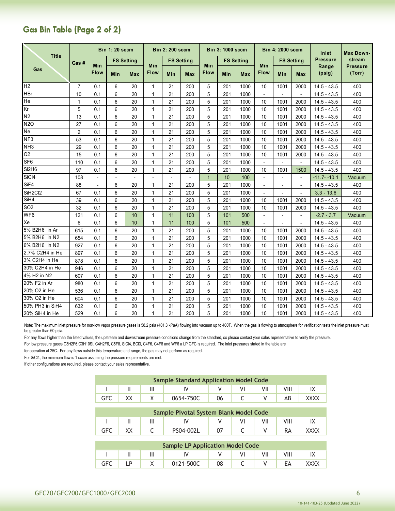# Gas Bin Table (Page 2 of 2)

|                   |                |                          | <b>Bin 1: 20 sccm</b> |                   |                    | <b>Bin 2: 200 sccm</b> |                   |                    | <b>Bin 3: 1000 sccm</b> |                   |                          | <b>Bin 4: 2000 sccm</b>  |                          | Inlet           | Max Down-                 |
|-------------------|----------------|--------------------------|-----------------------|-------------------|--------------------|------------------------|-------------------|--------------------|-------------------------|-------------------|--------------------------|--------------------------|--------------------------|-----------------|---------------------------|
| <b>Title</b>      | Gas #          |                          |                       | <b>FS Setting</b> |                    |                        | <b>FS Setting</b> |                    |                         | <b>FS Setting</b> |                          |                          | <b>FS Setting</b>        | <b>Pressure</b> | stream                    |
| Gas               |                | Min<br><b>Flow</b>       | Min                   | <b>Max</b>        | Min<br><b>Flow</b> | Min                    | <b>Max</b>        | Min<br><b>Flow</b> | Min                     | <b>Max</b>        | Min<br>Flow              | Min                      | <b>Max</b>               | Range<br>(psig) | <b>Pressure</b><br>(Torr) |
| H <sub>2</sub>    | $\overline{7}$ | 0.1                      | 6                     | 20                | $\mathbf 1$        | 21                     | 200               | 5                  | 201                     | 1000              | 10                       | 1001                     | 2000                     | $14.5 - 43.5$   | 400                       |
| <b>HBr</b>        | 10             | 0.1                      | 6                     | 20                | $\mathbf 1$        | 21                     | 200               | 5                  | 201                     | 1000              | $\blacksquare$           | $\blacksquare$           | $\blacksquare$           | $14.5 - 43.5$   | 400                       |
| He                | $\mathbf{1}$   | 0.1                      | 6                     | 20                | 1                  | 21                     | 200               | 5                  | 201                     | 1000              | 10                       | 1001                     | 2000                     | $14.5 - 43.5$   | 400                       |
| Kr                | 5              | 0.1                      | 6                     | 20                | 1                  | 21                     | 200               | 5                  | 201                     | 1000              | 10                       | 1001                     | 2000                     | $14.5 - 43.5$   | 400                       |
| N <sub>2</sub>    | 13             | 0.1                      | 6                     | 20                | 1                  | 21                     | 200               | 5                  | 201                     | 1000              | 10                       | 1001                     | 2000                     | $14.5 - 43.5$   | 400                       |
| <b>N2O</b>        | 27             | 0.1                      | 6                     | 20                | 1                  | 21                     | 200               | 5                  | 201                     | 1000              | 10                       | 1001                     | 2000                     | $14.5 - 43.5$   | 400                       |
| Ne                | $\overline{2}$ | 0.1                      | 6                     | 20                |                    | 21                     | 200               | 5                  | 201                     | 1000              | 10                       | 1001                     | 2000                     | $14.5 - 43.5$   | 400                       |
| NF3               | 53             | 0.1                      | 6                     | 20                |                    | 21                     | 200               | 5                  | 201                     | 1000              | 10                       | 1001                     | 2000                     | $14.5 - 43.5$   | 400                       |
| NH <sub>3</sub>   | 29             | 0.1                      | 6                     | 20                | 1                  | 21                     | 200               | 5                  | 201                     | 1000              | 10                       | 1001                     | 2000                     | $14.5 - 43.5$   | 400                       |
| O <sub>2</sub>    | 15             | 0.1                      | 6                     | 20                | 1                  | 21                     | 200               | 5                  | 201                     | 1000              | 10                       | 1001                     | 2000                     | $14.5 - 43.5$   | 400                       |
| SF <sub>6</sub>   | 110            | 0.1                      | 6                     | 20                | $\mathbf 1$        | 21                     | 200               | 5                  | 201                     | 1000              | $\blacksquare$           | $\overline{\phantom{a}}$ | $\blacksquare$           | $14.5 - 43.5$   | 400                       |
| Si2H6             | 97             | 0.1                      | 6                     | 20                | 1                  | 21                     | 200               | 5                  | 201                     | 1000              | 10                       | 1001                     | 1500                     | $14.5 - 43.5$   | 400                       |
| SiC <sub>I4</sub> | 108            | $\blacksquare$           | $\overline{a}$        | $\overline{a}$    |                    |                        |                   | $\overline{1}$     | 10                      | 100               |                          | $\overline{a}$           | $\blacksquare$           | $-11.7 - -10.1$ | Vacuum                    |
| SiF4              | 88             | $\overline{\phantom{a}}$ | 6                     | 20                | 1                  | 21                     | 200               | 5                  | 201                     | 1000              | $\overline{\phantom{a}}$ | $\blacksquare$           | $\blacksquare$           | $14.5 - 43.5$   | 400                       |
| SiH2Cl2           | 67             | 0.1                      | 6                     | 20                | 1                  | 21                     | 200               | 5                  | 201                     | 1000              | $\overline{\phantom{a}}$ | $\overline{a}$           | $\overline{\phantom{a}}$ | $3.3 - 13.6$    | 400                       |
| SiH4              | 39             | 0.1                      | 6                     | 20                | $\mathbf 1$        | 21                     | 200               | 5                  | 201                     | 1000              | 10                       | 1001                     | 2000                     | $14.5 - 43.5$   | 400                       |
| SO <sub>2</sub>   | 32             | 0.1                      | 6                     | 20                | 1                  | 21                     | 200               | 5                  | 201                     | 1000              | 10                       | 1001                     | 2000                     | $14.5 - 43.5$   | 400                       |
| WF6               | 121            | 0.1                      | 6                     | 10                | $\mathbf{1}$       | 11                     | 100               | 5                  | 101                     | 500               | $\overline{a}$           | $\overline{a}$           | $\overline{a}$           | $-2.7 - 3.7$    | Vacuum                    |
| Xe                | 6              | 0.1                      | 6                     | 10                | $\mathbf{1}$       | 11                     | 100               | 5                  | 101                     | 500               | $\overline{\phantom{a}}$ | $\overline{a}$           | $\blacksquare$           | $14.5 - 43.5$   | 400                       |
| 5% B2H6 in Ar     | 615            | 0.1                      | 6                     | 20                | 1                  | 21                     | 200               | 5                  | 201                     | 1000              | 10                       | 1001                     | 2000                     | $14.5 - 43.5$   | 400                       |
| 5% B2H6 in N2     | 654            | 0.1                      | 6                     | 20                |                    | 21                     | 200               | 5                  | 201                     | 1000              | 10                       | 1001                     | 2000                     | $14.5 - 43.5$   | 400                       |
| 6% B2H6 in N2     | 927            | 0.1                      | 6                     | 20                | 1                  | 21                     | 200               | 5                  | 201                     | 1000              | 10                       | 1001                     | 2000                     | $14.5 - 43.5$   | 400                       |
| 2.7% C2H4 in He   | 897            | 0.1                      | 6                     | 20                | 1                  | 21                     | 200               | 5                  | 201                     | 1000              | 10                       | 1001                     | 2000                     | $14.5 - 43.5$   | 400                       |
| 3% C2H4 in He     | 878            | 0.1                      | 6                     | 20                | 1                  | 21                     | 200               | 5                  | 201                     | 1000              | 10                       | 1001                     | 2000                     | $14.5 - 43.5$   | 400                       |
| 30% C2H4 in He    | 946            | 0.1                      | 6                     | 20                | 1                  | 21                     | 200               | 5                  | 201                     | 1000              | 10                       | 1001                     | 2000                     | $14.5 - 43.5$   | 400                       |
| 4% H2 in N2       | 607            | 0.1                      | 6                     | 20                | $\mathbf 1$        | 21                     | 200               | 5                  | 201                     | 1000              | 10                       | 1001                     | 2000                     | $14.5 - 43.5$   | 400                       |
| 20% F2 in Ar      | 980            | 0.1                      | 6                     | 20                | 1                  | 21                     | 200               | 5                  | 201                     | 1000              | 10                       | 1001                     | 2000                     | $14.5 - 43.5$   | 400                       |
| 20% O2 in He      | 536            | 0.1                      | 6                     | 20                | 1                  | 21                     | 200               | 5                  | 201                     | 1000              | 10                       | 1001                     | 2000                     | $14.5 - 43.5$   | 400                       |
| 30% O2 in He      | 604            | 0.1                      | 6                     | 20                | 1                  | 21                     | 200               | 5                  | 201                     | 1000              | 10                       | 1001                     | 2000                     | $14.5 - 43.5$   | 400                       |
| 50% PH3 in SiH4   | 632            | 0.1                      | 6                     | 20                | 1                  | 21                     | 200               | 5                  | 201                     | 1000              | 10                       | 1001                     | 2000                     | $14.5 - 43.5$   | 400                       |
| 20% SiH4 in He    | 529            | 0.1                      | 6                     | 20                | 1                  | 21                     | 200               | 5                  | 201                     | 1000              | 10                       | 1001                     | 2000                     | $14.5 - 43.5$   | 400                       |

Note: The maximum inlet pressure for non-low vapor pressure gases is 58.2 psia (401.3 kPaA) flowing into vacuum up to 400T. When the gas is flowing to atmosphere for verification tests the inlet pressure must be greater than 60 psia.

For any flows higher than the listed values, the upstream and downstream pressure conditions change from the standard, so please contact your sales representative to verify the pressure.

For low pressure gases C3H2F6,C3H10Si, C4H2F6, C5F8, SiCl4, BCl3, C4F6, C4F8 and WF6 a LP GFC is required. The inlet pressures stated in the table are

for operation at 25C. For any flows outside this temperature and range, the gas may not perform as required.

For SiCl4, the minimum flow is 1 sccm assuming the pressure requirements are met.

If other configurations are required, please contact your sales representative.

|     |  | <b>Sample Standard Application Model Code</b> |  |  |  |
|-----|--|-----------------------------------------------|--|--|--|
|     |  |                                               |  |  |  |
| GFC |  | 0654-750C                                     |  |  |  |

| Sample Pivotal System Blank Model Code |     |  |  |           |  |  |     |  |  |  |
|----------------------------------------|-----|--|--|-----------|--|--|-----|--|--|--|
|                                        |     |  |  |           |  |  | VII |  |  |  |
|                                        | GFC |  |  | PS04-002L |  |  |     |  |  |  |

| <b>Sample LP Application Model Code</b> |  |  |           |  |  |     |  |      |  |  |  |
|-----------------------------------------|--|--|-----------|--|--|-----|--|------|--|--|--|
|                                         |  |  |           |  |  | ٧II |  |      |  |  |  |
| <b>GFC</b>                              |  |  | 0121-500C |  |  |     |  | xxxx |  |  |  |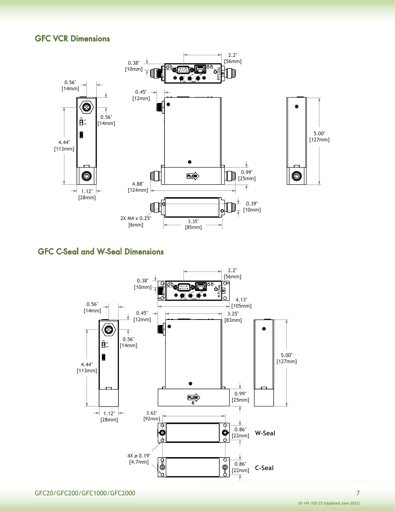### GFC VCR Dimensions





# GFC C-Seal and W-Seal Dimensions

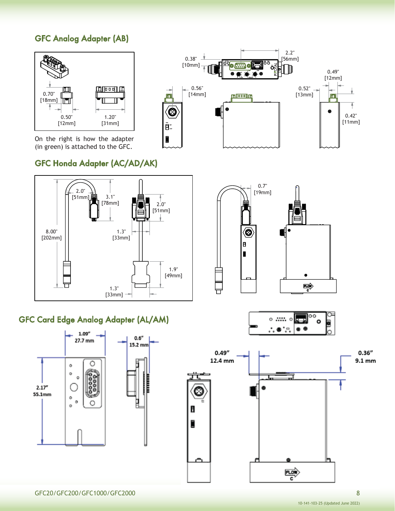# GFC Analog Adapter (AB)





# GFC Honda Adapter (AC/AD/AK)



### GFC Card Edge Analog Adapter (AL/AM)





0.38" [10mm]

> $-0.56"$ [14mm]

ïπ

 $\bigcirc$ 

 $\tilde{\mathbf{B}}^*$ I



。…… 。 ∴.● `..

0.52" [13mm]

2.2" [56mm]

II.

<u>iugoogui</u>

0.49" [12mm]

liai

٠

0.42" [11mm]



lo o

۰